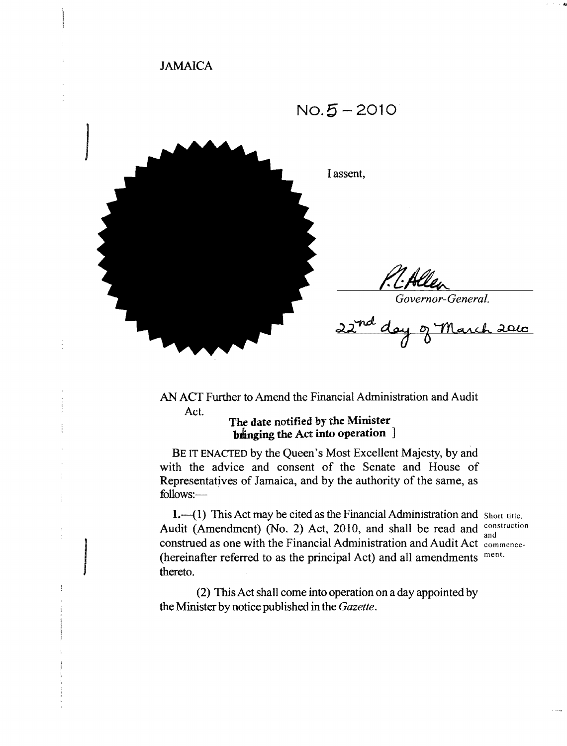# JAMAICA



AN ACT Further to Amend the Financial Administration and Audit Act.

# **The date** notified by the Minister **b**inging the Act into operation ]

BE IT ENACTED by the Queen's Most Excellent Majesty, by and with the advice and consent of the Senate and House of Representatives of Jamaica, and by the authority of the same, as follows:

1.-(1) This Act may be cited as the Financial Administration and Short title, Audit (Amendment) (No. 2) Act, 2010, and shall be read and  $\frac{\text{construction}}{\text{and}}$  construction as one with the Financial Administration and Audit Act  $\frac{\text{communication}}{\text{otherwise}}$ (hereinafter referred to as the principal Act) and all amendments ment. thereto.

(2) This Act shall come into operation on a day appointed by the Minister by notice published in the *Gazette.*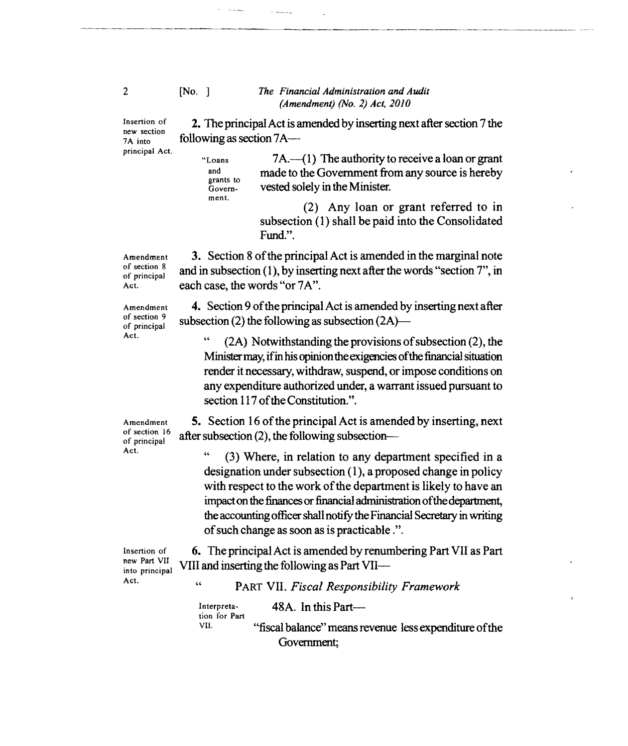#### [No. ] *The Financial Administration and Audit (Amendment) (No.2) Act, 2010*

2. The principal Act is amended by inserting next after section 7 the

Insertion of new section 7A into principal Act.

"Loans  $7A.(-1)$  The authority to receive a loan or grant and grants to made to the Government from any source is hereby vested solely in the Minister.

Government.

following as section 7A

 $\sim$   $\sim$   $\sim$ 

and a state of the

(2) Any loan or grant referred to in subsection (1) shall be paid into the Consolidated Fund.".

-~------.~-----.

3. Section 8 of the principal Act is amended in the marginal note and in subsection (1), by inserting next after the words "section 7", in each case, the words "or 7A".

4. Section 9 of the principal Act is amended by inserting next after subsection (2) the following as subsection  $(2A)$ —

 $(2A)$  Notwithstanding the provisions of subsection  $(2)$ , the Ministermay, ifin his opiniontheexigencies ofthe financial situation render it necessary, withdraw, suspend, or impose conditions on any expenditure authorized under, a warrant issued pursuant to section 117 of the Constitution.".

5. Section 16 of the principal Act is amended by inserting, next after subsection (2), the following subsection

" (3) Where, in relation to any department specified in a designation under subsection  $(1)$ , a proposed change in policy with respect to the work of the department is likely to have an impact on the finances or financial administration of the department, the accounting officer shall notify the Financial Secretary in writing ofsuch change as soon as is practicable.".

Insertion of new Part VII into principal Act.

6. The principal Act is amended by renumbering Part VII as Part VIII and inserting the following as Part VII

" PART VII. *Fiscal Responsibility Framework* 

Interpreta- 48A. In this Parttion for Part<br>VII. "fiscal balance" means revenue less expenditure of the Government;

2

Amendment of section 8 of principal Act.

Amendment of section 9 of principal Act.

Amendment of section 16 of principal Act.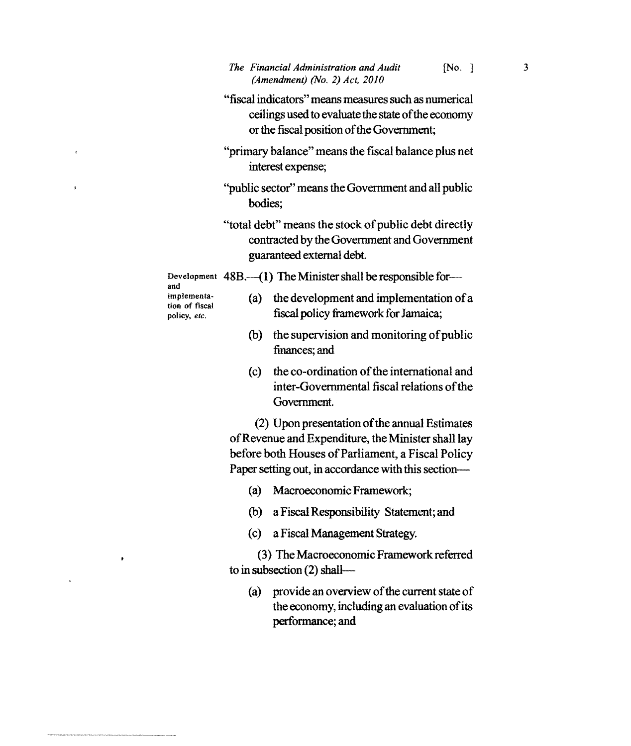- "fiscal indicators" means measures such as numerical ceilings used to evaluate the state of the economy or the fiscal position of the Government;
- "primary balance" means the fiscal balance plus net interest expense;
- "public sector" means the Government and all public bodies;
- "total debt" means the stock of public debt directly contracted by the Government and Government guaranteed external debt.

Development 48B.--(1) The Minister shall be responsible forand implementa-

- tion of fiscal policy, *etc.*
- (a) the development and implementation of a fiscal policy framework for Jamaica;
- $(b)$  the supervision and monitoring of public finances; and
- (c) the co-ordination of the international and inter-Governmental fiscal relations ofthe Government.

(2) Upon presentation of the annual Estimates ofRevenue and Expenditure, the Minister shall lay before both Houses of Parliament, a Fiscal Policy Paper setting out, in accordance with this section--

- (a) Macroeconomic Framework;
- (b) a Fiscal Responsibility Staternent; and
- (c) a Fiscal Management Strategy.

(3) The Macroeconomic Framework referred to in subsection (2) shall

(a) provide an overview of the current state of the economy, including an evaluation of its performance; and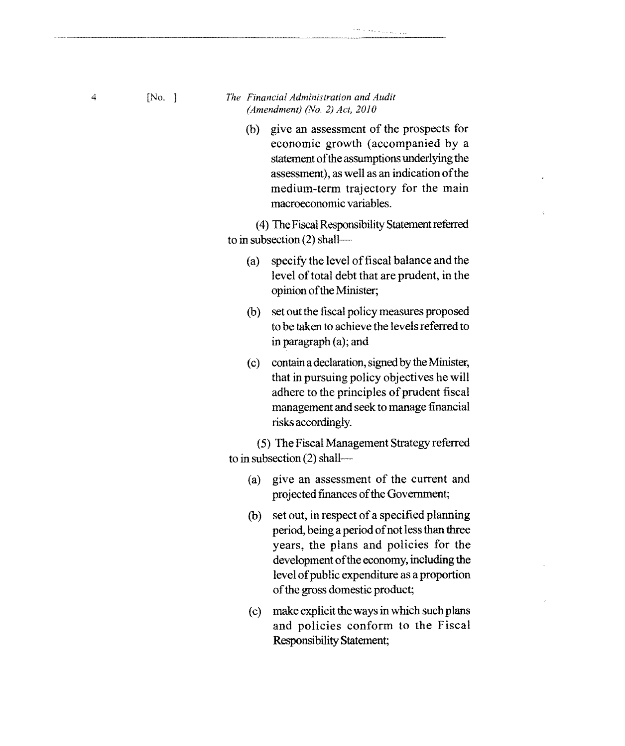- 4 [No. ] *The Financial Administration and Audit The Financial Administration and Audit (Amendment) (No.2) Act, 2010* 
	- (b) give an assessment of the prospects for economic growth (accompanied by a statement of the assumptions underlying the assessment), as well as an indication ofthe medium-term trajectory for the main macroeconomic variables.

Ł

للوار المتعارض والمحاجم والمتعام

(4) The Fiscal Responsibility Statement referred to in subsection (2) shall

- (a) specify the level offiscal balance and the level of total debt that are prudent, in the opinion of the Minister;
- (b) set out the fiscal policy measures proposed to be taken to achieve the levels referred to in paragraph (a); and
- (c) contain a declaration, signed by the Minister, that in pursuing policy objectives he will adhere to the principles of prudent fiscal management and seek to manage financial risks accordingly.

(5) The Fiscal Management Strategy referred to in subsection (2) shall

- (a) give an assessment of the current and projected finances of the Government;
- (b) set out, in respect of a specified planning period, being a period of not less than three years, the plans and policies for the development of the economy, including the level of public expenditure as a proportion of the gross domestic product;
- (c) make explicit the ways in which such plans and policies conform to the Fiscal Responsibility Statement;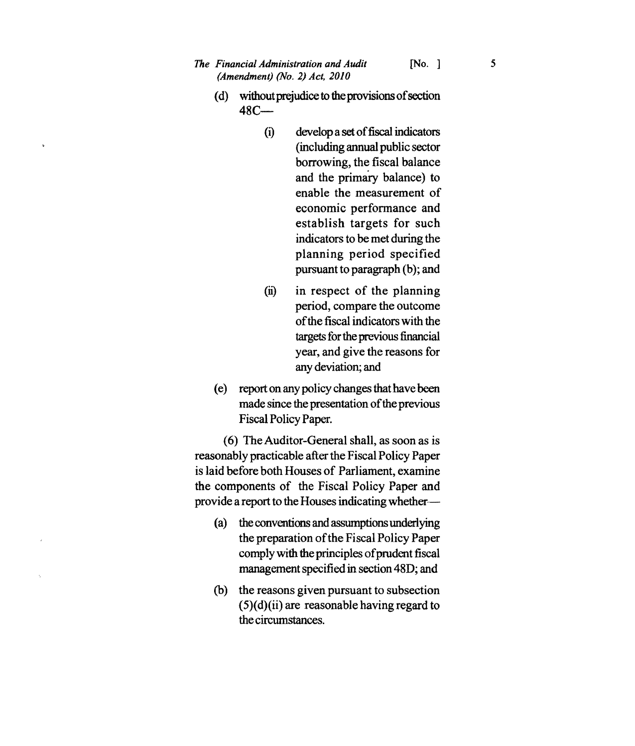- *The Financial Administration and Audit* [No. ] 5 *(Amendment) (No.2) Act, 2010* 
	- (d) without prejudice to the provisions of section  $48C -$ 
		- (i) develop a set offiscal indicators (including annual public sector borrowing, the fiscal balance and the primary balance) to enable the measurement of economic performance and establish targets for such indicators to be met during the planning period specified pursuant to paragraph (b); and
		- $(ii)$  in respect of the planning period, compare the outcome ofthe fiscal indicators with the targets for the previous financial year, and give the reasons for any deviation; and
	- (e) report on any policy changes that have been made since the presentation of the previous Fiscal Policy Paper.

(6) The Auditor-General shall, as soon as is reasonably practicable after the Fiscal Policy Paper is laid before both Houses of Parliament, examine the components of the Fiscal Policy Paper and provide a report to the Houses indicating whether

- (a) the conventions and assumptions underlying the preparation of the Fiscal Policy Paper comply with the principles of prudent fiscal management specified in section 48D; and
- (b) the reasons given pursuant to subsection  $(5)(d)(ii)$  are reasonable having regard to the circumstances.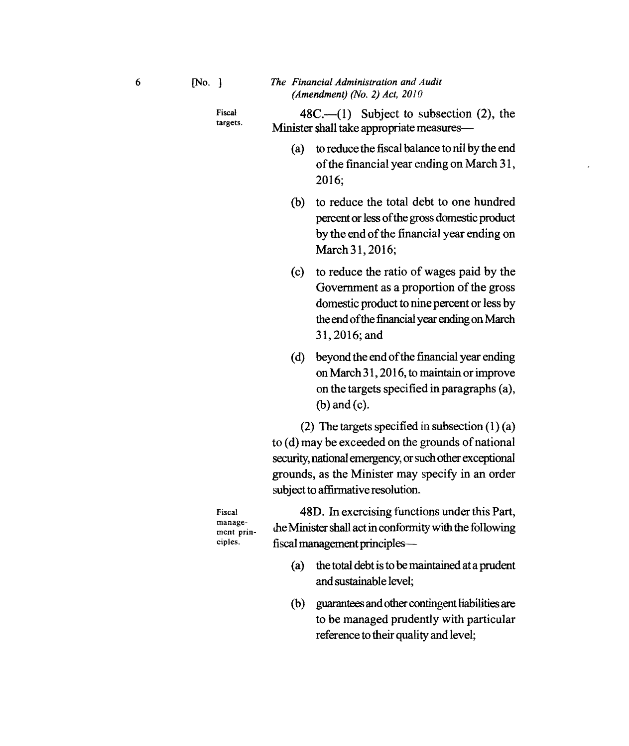Fiscal targets.

 $48C$ —(1) Subject to subsection (2), the Minister shall take appropriate measures-

- (a) to reduce the fiscal balance to nil by the end of the financial year ending on March 31, 2016;
- (b) to reduce the total debt to one hundred percent or less ofthe gross domestic product by the end of the financial year ending on March 31, 2016;
- (c) to reduce the ratio of wages paid by the Government as a proportion of the gross domestic product to nine percent or less by the end of the financial year ending on March 31,2016;and
- (d) beyond the end ofthe financial year ending on March 31,2016, to maintain or improve on the targets specified in paragraphs (a), (b) and (c).

(2) The targets specified in subsection  $(1)$  (a) to (d) may be exceeded on the grounds of national security, national emergency, or such other exceptional grounds, as the Minister may specify in an order subject to affirmative resolution.

Fiscal management principles.

48D. In exercising functions under this Part, me Minister shall act in conformity with the following fiscal management principles-

- (a) the total debt is to be maintained at a prudent and sustainable level;
- (b) guarantees and other contingent liabilities are to be managed prudently with particular reference to their quality and level;

6 [No. ]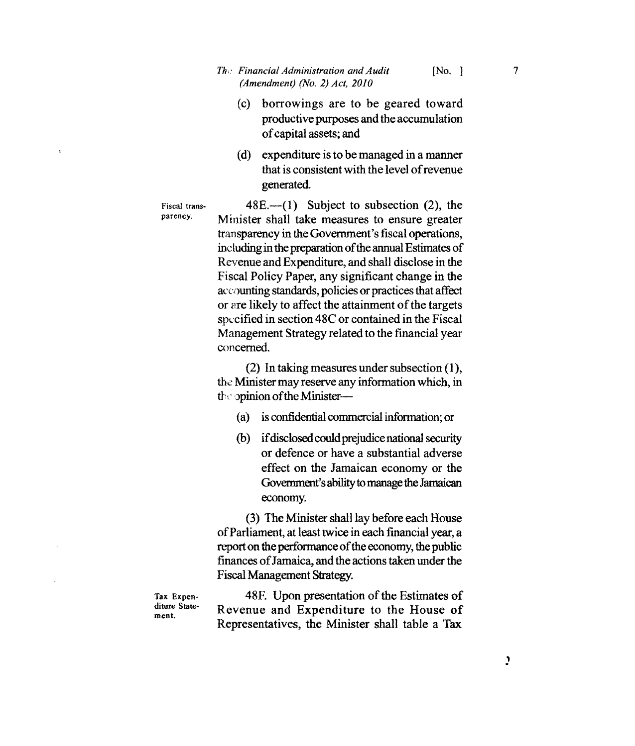- (C) borrowings are to be geared toward productive purposes and the accumulation ofcapital assets; and
- (d) expenditure is to be managed in a manner that is consistent with the level of revenue generated.

Fiscal transparency.

ķ,

 $48E$ —(1) Subject to subsection (2), the Minister shall take measures to ensure greater transparency in the Government's fiscal operations, including in the preparation of the annual Estimates of Revenue and Expenditure, and shall disclose in the Fiscal Policy Paper, any significant change in the accounting standards, policies or practices that affect or are likely to affect the attainment of the targets specified in section 48C or contained in the Fiscal Management Strategy related to the financial year concerned.

(2) In taking measures under subsection (1), the Minister may reserve any information which, in the opinion of the Minister-

- (a) is confidential commercial information; or
- (b) if disclosed could prejudice national security or defence or have a substantial adverse effect on the Jamaican economy or the Government's ability to manage the Jamaican economy.

(3) The Minister shall lay before each House ofParliament, at least twice in each financial year, a report on the performance of the economy, the public finances ofJamaica, and the actions taken under the Fiscal Management Strategy.

Tax Expenditure Statement.

48F. Upon presentation of the Estimates of Revenue and Expenditure to the House of Representatives, the Minister shall table a Tax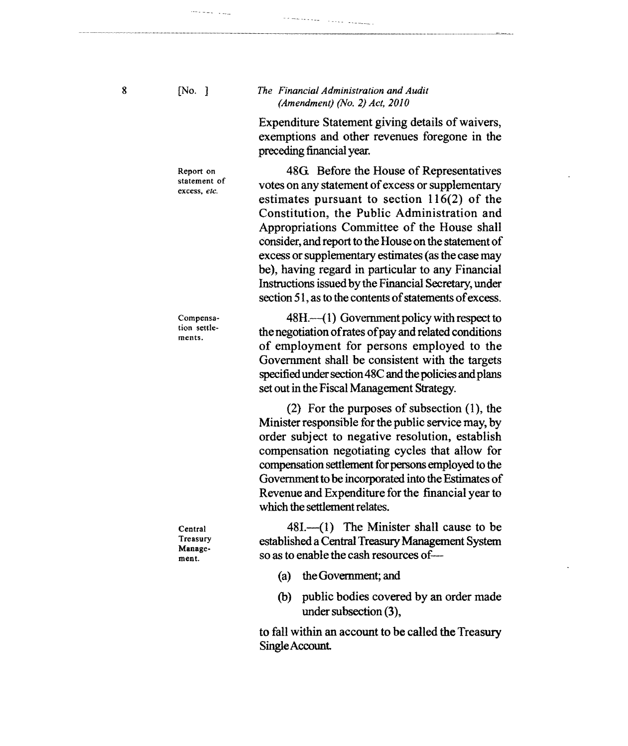8 [No. ]

.<br>1994 - Alexandro III, marekatikan artekatuar dago dago dago dago dago dago da dago da dago da dago da dago da

#### *The Financial Administration and Audit (Amendment) (No.2) Act, 2010*

**Service Standard** 

s e malvalagas

Expenditure Statement giving details of waivers, exemptions and other revenues foregone in the preceding financial year.

480. Before the House of Representatives votes on any statement of excess or supplementary estimates pursuant to section 116(2) of the Constitution, the Public Administration and Appropriations Committee of the House shall consider, and report to the House on the statement of excess or supplementary estimates (as the case may be), having regard in particular to any Financial Instructions issued by the Financial Secretary, under section 51, as to the contents of statements of excess.

48H.—(1) Government policy with respect to the negotiation of rates of pay and related conditions of employment for persons employed to the Government shall be consistent with the targets specified under section 48C and the policies and plans

(2) For the purposes of subsection (1), the Minister responsible for the public service may, by order subject to negative resolution, establish compensation negotiating cycles that allow for compensation settlement for persons employed to the

set out in the Fiscal Management Strategy.

Report on statement of excess, *etc.* 

Compensation settlements.

Central Treasury Management.

Government to be incorporated into the Estimates of Revenue and Expenditure for the financial year to which the settlement relates.

 $481- (1)$  The Minister shall cause to be established a Central Treasury Management System so as to enable the cash resources of —

- (a) the Government; and
- (b) public bodies covered by an order made under subsection (3),

to fall within an account to be called the Treasury SingleAccount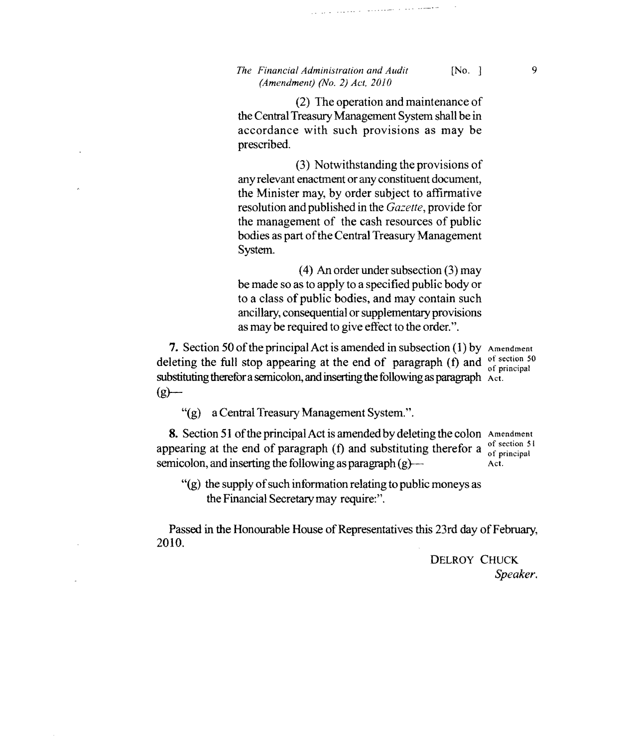## *The Financial Administration and Audit* [No. ] 9 *(Amendment) (No.2) Act. 2010*

(2) The operation and maintenance of the Central Treasury Management System shall be in accordance with such provisions as may be prescribed.

والمستعمل وللوارد السمعت وبالتاريخ المتحدود الداروراني

(3) Notwithstanding the provisions of any relevant enactment or any constituent document, the Minister may, by order subject to affirmative resolution and published in the *Gazette,* provide for the management of the cash resources of public bodies as part of the Central Treasury Management System.

(4) An order under subsection (3) may be made so as to apply to a specified public body or to a class of public bodies, and may contain such ancillary, consequential or supplementary provisions as may be required to give effect to the order.".

7. Section 50 of the principal Act is amended in subsection  $(1)$  by Amendment deleting the full stop appearing at the end of paragraph (f) and  $\frac{1}{\text{of period}}$ substituting therefor a semicolon, and inserting the following as paragraph  $\lambda$  et.  $(g)$ —

"(g) a Central Treasury Management System.".

**8.** Section 51 of the principal Act is amended by deleting the colon Amendment program at the end of personnel (f) and outstituting therefore of section 51 appearing at the end of paragraph (f) and substituting therefor a  $\frac{0 \text{ of section 5}}{0 \text{ of principal}}$ semicolon, and inserting the following as paragraph  $(g)$ - Act.

 $''(g)$  the supply of such information relating to public moneys as the Financial Secretary may require:".

Passed in the Honourable House of Representatives this 23rd day of February, 2010.

> DELROY CHUCK *Speaker.*